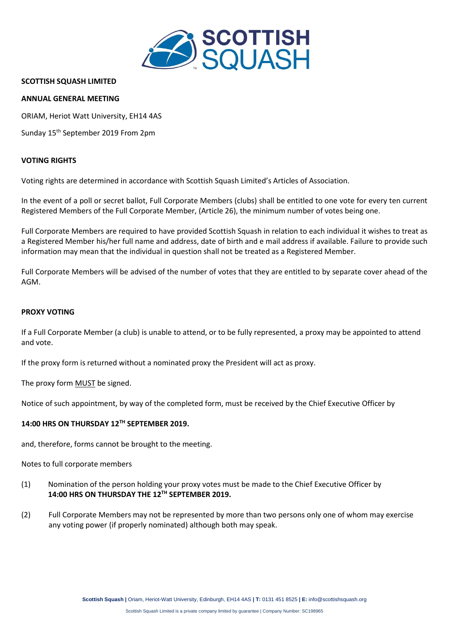

# **SCOTTISH SQUASH LIMITED**

# **ANNUAL GENERAL MEETING**

ORIAM, Heriot Watt University, EH14 4AS

Sunday 15 th September 2019 From 2pm

#### **VOTING RIGHTS**

Voting rights are determined in accordance with Scottish Squash Limited's Articles of Association.

In the event of a poll or secret ballot, Full Corporate Members (clubs) shall be entitled to one vote for every ten current Registered Members of the Full Corporate Member, (Article 26), the minimum number of votes being one.

Full Corporate Members are required to have provided Scottish Squash in relation to each individual it wishes to treat as a Registered Member his/her full name and address, date of birth and e mail address if available. Failure to provide such information may mean that the individual in question shall not be treated as a Registered Member.

Full Corporate Members will be advised of the number of votes that they are entitled to by separate cover ahead of the AGM.

# **PROXY VOTING**

If a Full Corporate Member (a club) is unable to attend, or to be fully represented, a proxy may be appointed to attend and vote.

If the proxy form is returned without a nominated proxy the President will act as proxy.

The proxy form **MUST** be signed.

Notice of such appointment, by way of the completed form, must be received by the Chief Executive Officer by

# **14:00 HRS ON THURSDAY 12 TH SEPTEMBER 2019.**

and, therefore, forms cannot be brought to the meeting.

Notes to full corporate members

- (1) Nomination of the person holding your proxy votes must be made to the Chief Executive Officer by **14:00 HRS ON THURSDAY THE 12 TH SEPTEMBER 2019.**
- (2) Full Corporate Members may not be represented by more than two persons only one of whom may exercise any voting power (if properly nominated) although both may speak.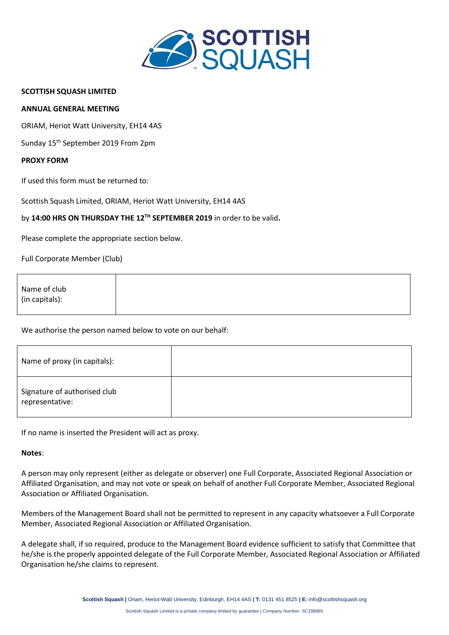

### **SCOTTISH SQUASH LIMITED**

### **ANNUAL GENERAL MEETING**

ORIAM, Heriot Watt University, EH14 4AS

Sunday 15 th September 2019 From 2pm

#### **PROXY FORM**

If used this form must be returned to:

Scottish Squash Limited, ORIAM, Heriot Watt University, EH14 4AS

# by 14:00 HRS ON THURSDAY THE 12<sup>TH</sup> SEPTEMBER 2019 in order to be valid.

Please complete the appropriate section below.

Full Corporate Member (Club)

| Name of club   |  |  |
|----------------|--|--|
|                |  |  |
| (in capitals): |  |  |
|                |  |  |

# We authorise the person named below to vote on our behalf:

| Name of proxy (in capitals):                    |  |
|-------------------------------------------------|--|
| Signature of authorised club<br>representative: |  |

If no name is inserted the President will act as proxy.

#### **Notes**:

A person may only represent (either as delegate or observer) one Full Corporate, Associated Regional Association or Affiliated Organisation, and may not vote or speak on behalf of another Full Corporate Member, Associated Regional Association or Affiliated Organisation.

Members of the Management Board shall not be permitted to represent in any capacity whatsoever a Full Corporate Member, Associated Regional Association or Affiliated Organisation.

A delegate shall, if so required, produce to the Management Board evidence sufficient to satisfy that Committee that he/she is the properly appointed delegate of the Full Corporate Member, Associated Regional Association or Affiliated Organisation he/she claims to represent.